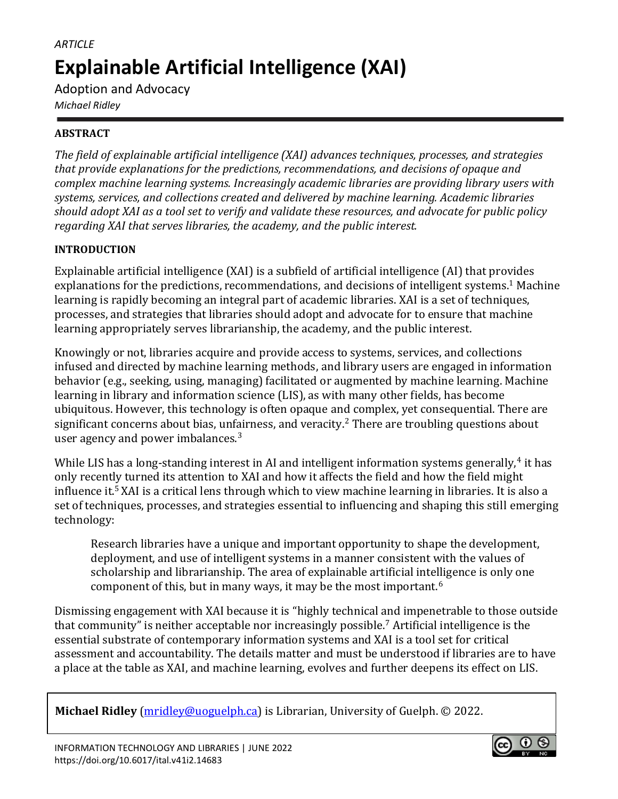# *ARTICLE* **Explainable Artificial Intelligence (XAI)**

Adoption and Advocacy *Michael Ridley*

# **ABSTRACT**

*The field of explainable artificial intelligence (XAI) advances techniques, processes, and strategies that provide explanations for the predictions, recommendations, and decisions of opaque and complex machine learning systems. Increasingly academic libraries are providing library users with systems, services, and collections created and delivered by machine learning. Academic libraries should adopt XAI as a tool set to verify and validate these resources, and advocate for public policy regarding XAI that serves libraries, the academy, and the public interest.*

# **INTRODUCTION**

Explainable artificial intelligence (XAI) is a subfield of artificial intelligence (AI) that provides explanations for the predictions, recommendations, and decisions of intelligent systems.<sup>1</sup> Machine learning is rapidly becoming an integral part of academic libraries. XAI is a set of techniques, processes, and strategies that libraries should adopt and advocate for to ensure that machine learning appropriately serves librarianship, the academy, and the public interest.

Knowingly or not, libraries acquire and provide access to systems, services, and collections infused and directed by machine learning methods, and library users are engaged in information behavior (e.g., seeking, using, managing) facilitated or augmented by machine learning. Machine learning in library and information science (LIS), as with many other fields, has become ubiquitous. However, this technology is often opaque and complex, yet consequential. There are significant concerns about bias, unfairness, and veracity.<sup>2</sup> There are troubling questions about user agency and power imbalances.<sup>3</sup>

While LIS has a long-standing interest in AI and intelligent information systems generally, $4$  it has only recently turned its attention to XAI and how it affects the field and how the field might influence it.<sup>5</sup> XAI is a critical lens through which to view machine learning in libraries. It is also a set of techniques, processes, and strategies essential to influencing and shaping this still emerging technology:

Research libraries have a unique and important opportunity to shape the development, deployment, and use of intelligent systems in a manner consistent with the values of scholarship and librarianship. The area of explainable artificial intelligence is only one component of this, but in many ways, it may be the most important.<sup>6</sup>

Dismissing engagement with XAI because it is "highly technical and impenetrable to those outside that community" is neither acceptable nor increasingly possible.<sup>7</sup> Artificial intelligence is the essential substrate of contemporary information systems and XAI is a tool set for critical assessment and accountability. The details matter and must be understood if libraries are to have a place at the table as XAI, and machine learning, evolves and further deepens its effect on LIS.

**Michael Ridley** [\(mridley@uoguelph.ca\)](mailto:mridley@uoguelph.ca) is Librarian, University of Guelph. © 2022.

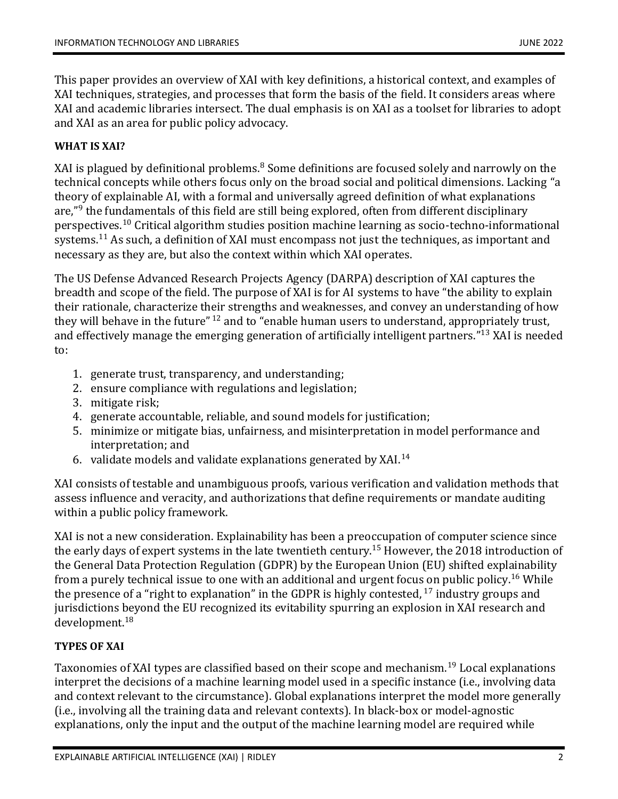This paper provides an overview of XAI with key definitions, a historical context, and examples of XAI techniques, strategies, and processes that form the basis of the field. It considers areas where XAI and academic libraries intersect. The dual emphasis is on XAI as a toolset for libraries to adopt and XAI as an area for public policy advocacy.

## **WHAT IS XAI?**

XAI is plagued by definitional problems.<sup>8</sup> Some definitions are focused solely and narrowly on the technical concepts while others focus only on the broad social and political dimensions. Lacking "a theory of explainable AI, with a formal and universally agreed definition of what explanations are,"<sup>9</sup> the fundamentals of this field are still being explored, often from different disciplinary perspectives.<sup>10</sup> Critical algorithm studies position machine learning as socio-techno-informational systems.<sup>11</sup> As such, a definition of XAI must encompass not just the techniques, as important and necessary as they are, but also the context within which XAI operates.

The US Defense Advanced Research Projects Agency (DARPA) description of XAI captures the breadth and scope of the field. The purpose of XAI is for AI systems to have "the ability to explain their rationale, characterize their strengths and weaknesses, and convey an understanding of how they will behave in the future"  $^{12}$  and to "enable human users to understand, appropriately trust, and effectively manage the emerging generation of artificially intelligent partners."<sup>13</sup> XAI is needed to:

- 1. generate trust, transparency, and understanding;
- 2. ensure compliance with regulations and legislation;
- 3. mitigate risk;
- 4. generate accountable, reliable, and sound models for justification;
- 5. minimize or mitigate bias, unfairness, and misinterpretation in model performance and interpretation; and
- 6. validate models and validate explanations generated by XAI.<sup>14</sup>

XAI consists of testable and unambiguous proofs, various verification and validation methods that assess influence and veracity, and authorizations that define requirements or mandate auditing within a public policy framework.

XAI is not a new consideration. Explainability has been a preoccupation of computer science since the early days of expert systems in the late twentieth century.<sup>15</sup> However, the 2018 introduction of the General Data Protection Regulation (GDPR) by the European Union (EU) shifted explainability from a purely technical issue to one with an additional and urgent focus on public policy.<sup>16</sup> While the presence of a "right to explanation" in the GDPR is highly contested,  $17$  industry groups and jurisdictions beyond the EU recognized its evitability spurring an explosion in XAI research and development.<sup>18</sup>

## **TYPES OF XAI**

Taxonomies of XAI types are classified based on their scope and mechanism.<sup>19</sup> Local explanations interpret the decisions of a machine learning model used in a specific instance (i.e., involving data and context relevant to the circumstance). Global explanations interpret the model more generally (i.e., involving all the training data and relevant contexts). In black-box or model-agnostic explanations, only the input and the output of the machine learning model are required while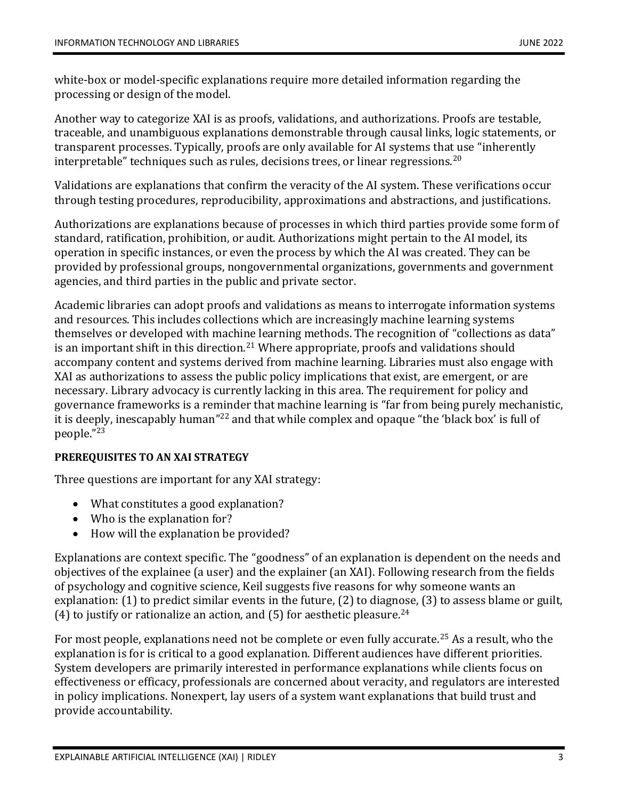white-box or model-specific explanations require more detailed information regarding the processing or design of the model.

Another way to categorize XAI is as proofs, validations, and authorizations. Proofs are testable, traceable, and unambiguous explanations demonstrable through causal links, logic statements, or transparent processes. Typically, proofs are only available for AI systems that use "inherently interpretable" techniques such as rules, decisions trees, or linear regressions. $^{20}$ 

Validations are explanations that confirm the veracity of the AI system. These verifications occur through testing procedures, reproducibility, approximations and abstractions, and justifications.

Authorizations are explanations because of processes in which third parties provide some form of standard, ratification, prohibition, or audit. Authorizations might pertain to the AI model, its operation in specific instances, or even the process by which the AI was created. They can be provided by professional groups, nongovernmental organizations, governments and government agencies, and third parties in the public and private sector.

Academic libraries can adopt proofs and validations as means to interrogate information systems and resources. This includes collections which are increasingly machine learning systems themselves or developed with machine learning methods. The recognition of "collections as data" is an important shift in this direction.<sup>21</sup> Where appropriate, proofs and validations should accompany content and systems derived from machine learning. Libraries must also engage with XAI as authorizations to assess the public policy implications that exist, are emergent, or are necessary. Library advocacy is currently lacking in this area. The requirement for policy and governance frameworks is a reminder that machine learning is "far from being purely mechanistic, it is deeply, inescapably human"<sup>22</sup> and that while complex and opaque "the 'black box' is full of people." 23

## **PREREQUISITES TO AN XAI STRATEGY**

Three questions are important for any XAI strategy:

- What constitutes a good explanation?
- Who is the explanation for?
- How will the explanation be provided?

Explanations are context specific. The "goodness" of an explanation is dependent on the needs and objectives of the explainee (a user) and the explainer (an XAI). Following research from the fields of psychology and cognitive science, Keil suggests five reasons for why someone wants an explanation: (1) to predict similar events in the future, (2) to diagnose, (3) to assess blame or guilt, (4) to justify or rationalize an action, and (5) for aesthetic pleasure.<sup>24</sup>

For most people, explanations need not be complete or even fully accurate.<sup>25</sup> As a result, who the explanation is for is critical to a good explanation. Different audiences have different priorities. System developers are primarily interested in performance explanations while clients focus on effectiveness or efficacy, professionals are concerned about veracity, and regulators are interested in policy implications. Nonexpert, lay users of a system want explanations that build trust and provide accountability.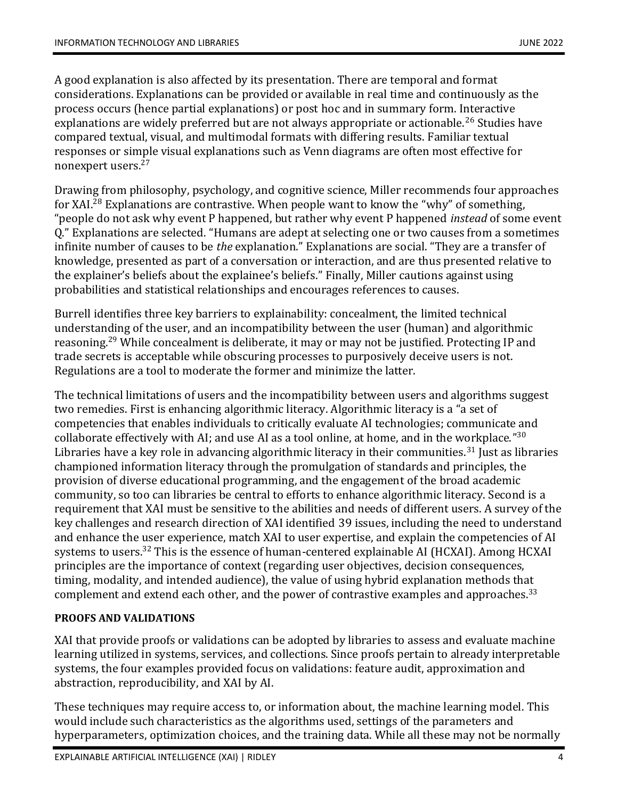A good explanation is also affected by its presentation. There are temporal and format considerations. Explanations can be provided or available in real time and continuously as the process occurs (hence partial explanations) or post hoc and in summary form. Interactive explanations are widely preferred but are not always appropriate or actionable.<sup>26</sup> Studies have compared textual, visual, and multimodal formats with differing results. Familiar textual responses or simple visual explanations such as Venn diagrams are often most effective for nonexpert users.<sup>27</sup>

Drawing from philosophy, psychology, and cognitive science, Miller recommends four approaches for XAI.<sup>28</sup> Explanations are contrastive. When people want to know the "why" of something, "people do not ask why event P happened, but rather why event P happened *instead* of some event Q." Explanations are selected. "Humans are adept at selecting one or two causes from a sometimes infinite number of causes to be *the* explanation." Explanations are social. "They are a transfer of knowledge, presented as part of a conversation or interaction, and are thus presented relative to the explainer's beliefs about the explainee's beliefs." Finally, Miller cautions against using probabilities and statistical relationships and encourages references to causes.

Burrell identifies three key barriers to explainability: concealment, the limited technical understanding of the user, and an incompatibility between the user (human) and algorithmic reasoning.<sup>29</sup> While concealment is deliberate, it may or may not be justified. Protecting IP and trade secrets is acceptable while obscuring processes to purposively deceive users is not. Regulations are a tool to moderate the former and minimize the latter.

The technical limitations of users and the incompatibility between users and algorithms suggest two remedies. First is enhancing algorithmic literacy. Algorithmic literacy is a "a set of competencies that enables individuals to critically evaluate AI technologies; communicate and collaborate effectively with AI; and use AI as a tool online, at home, and in the workplace." $30$ Libraries have a key role in advancing algorithmic literacy in their communities.<sup>31</sup> Just as libraries championed information literacy through the promulgation of standards and principles, the provision of diverse educational programming, and the engagement of the broad academic community, so too can libraries be central to efforts to enhance algorithmic literacy. Second is a requirement that XAI must be sensitive to the abilities and needs of different users. A survey of the key challenges and research direction of XAI identified 39 issues, including the need to understand and enhance the user experience, match XAI to user expertise, and explain the competencies of AI systems to users.<sup>32</sup> This is the essence of human-centered explainable AI (HCXAI). Among HCXAI principles are the importance of context (regarding user objectives, decision consequences, timing, modality, and intended audience), the value of using hybrid explanation methods that complement and extend each other, and the power of contrastive examples and approaches.<sup>33</sup>

# **PROOFS AND VALIDATIONS**

XAI that provide proofs or validations can be adopted by libraries to assess and evaluate machine learning utilized in systems, services, and collections. Since proofs pertain to already interpretable systems, the four examples provided focus on validations: feature audit, approximation and abstraction, reproducibility, and XAI by AI.

These techniques may require access to, or information about, the machine learning model. This would include such characteristics as the algorithms used, settings of the parameters and hyperparameters, optimization choices, and the training data. While all these may not be normally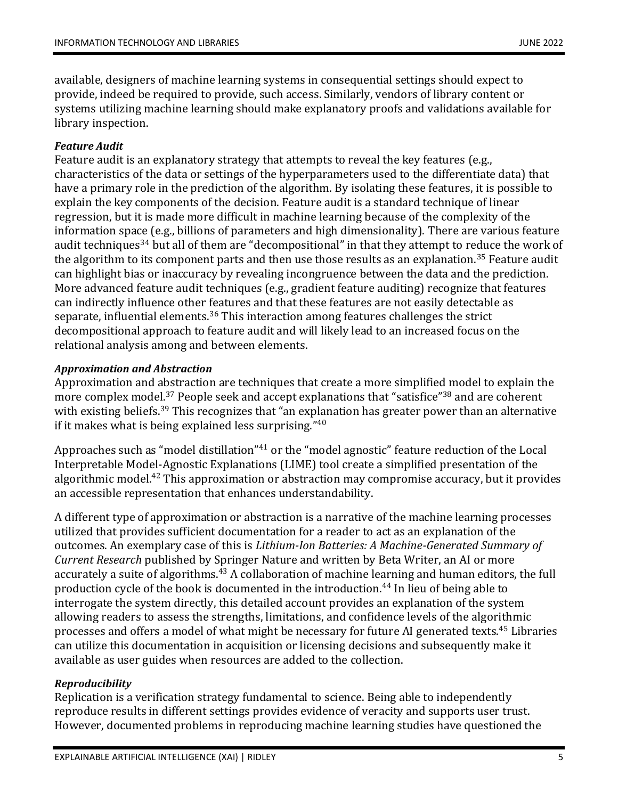available, designers of machine learning systems in consequential settings should expect to provide, indeed be required to provide, such access. Similarly, vendors of library content or systems utilizing machine learning should make explanatory proofs and validations available for library inspection.

## *Feature Audit*

Feature audit is an explanatory strategy that attempts to reveal the key features (e.g., characteristics of the data or settings of the hyperparameters used to the differentiate data) that have a primary role in the prediction of the algorithm. By isolating these features, it is possible to explain the key components of the decision. Feature audit is a standard technique of linear regression, but it is made more difficult in machine learning because of the complexity of the information space (e.g., billions of parameters and high dimensionality). There are various feature audit techniques<sup>34</sup> but all of them are "decompositional" in that they attempt to reduce the work of the algorithm to its component parts and then use those results as an explanation.<sup>35</sup> Feature audit can highlight bias or inaccuracy by revealing incongruence between the data and the prediction. More advanced feature audit techniques (e.g., gradient feature auditing) recognize that features can indirectly influence other features and that these features are not easily detectable as separate, influential elements. $36$  This interaction among features challenges the strict decompositional approach to feature audit and will likely lead to an increased focus on the relational analysis among and between elements.

## *Approximation and Abstraction*

Approximation and abstraction are techniques that create a more simplified model to explain the more complex model.<sup>37</sup> People seek and accept explanations that "satisfice"<sup>38</sup> and are coherent with existing beliefs.<sup>39</sup> This recognizes that "an explanation has greater power than an alternative if it makes what is being explained less surprising."<sup>40</sup>

Approaches such as "model distillation"<sup>41</sup> or the "model agnostic" feature reduction of the Local Interpretable Model-Agnostic Explanations (LIME) tool create a simplified presentation of the algorithmic model.<sup>42</sup> This approximation or abstraction may compromise accuracy, but it provides an accessible representation that enhances understandability.

A different type of approximation or abstraction is a narrative of the machine learning processes utilized that provides sufficient documentation for a reader to act as an explanation of the outcomes. An exemplary case of this is *Lithium-Ion Batteries: A Machine-Generated Summary of Current Research* published by Springer Nature and written by Beta Writer, an AI or more accurately a suite of algorithms.<sup>43</sup> A collaboration of machine learning and human editors, the full production cycle of the book is documented in the introduction.<sup>44</sup> In lieu of being able to interrogate the system directly, this detailed account provides an explanation of the system allowing readers to assess the strengths, limitations, and confidence levels of the algorithmic processes and offers a model of what might be necessary for future AI generated texts.<sup>45</sup> Libraries can utilize this documentation in acquisition or licensing decisions and subsequently make it available as user guides when resources are added to the collection.

# *Reproducibility*

Replication is a verification strategy fundamental to science. Being able to independently reproduce results in different settings provides evidence of veracity and supports user trust. However, documented problems in reproducing machine learning studies have questioned the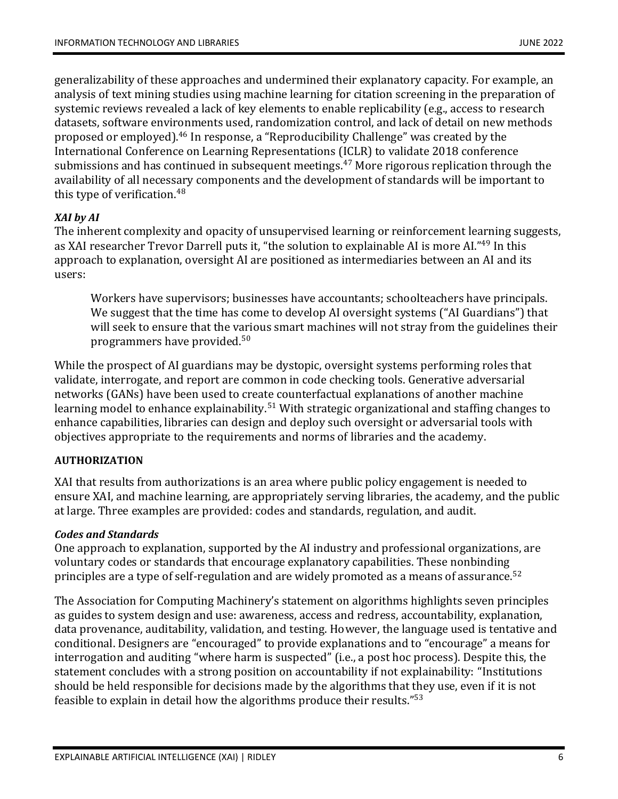generalizability of these approaches and undermined their explanatory capacity. For example, an analysis of text mining studies using machine learning for citation screening in the preparation of systemic reviews revealed a lack of key elements to enable replicability (e.g., access to research datasets, software environments used, randomization control, and lack of detail on new methods proposed or employed).<sup>46</sup> In response, a "Reproducibility Challenge" was created by the International Conference on Learning Representations (ICLR) to validate 2018 conference submissions and has continued in subsequent meetings.<sup>47</sup> More rigorous replication through the availability of all necessary components and the development of standards will be important to this type of verification.<sup>48</sup>

## *XAI by AI*

The inherent complexity and opacity of unsupervised learning or reinforcement learning suggests, as XAI researcher Trevor Darrell puts it, "the solution to explainable AI is more AI."<sup>49</sup> In this approach to explanation, oversight AI are positioned as intermediaries between an AI and its users:

Workers have supervisors; businesses have accountants; schoolteachers have principals. We suggest that the time has come to develop AI oversight systems ("AI Guardians") that will seek to ensure that the various smart machines will not stray from the guidelines their programmers have provided.<sup>50</sup>

While the prospect of AI guardians may be dystopic, oversight systems performing roles that validate, interrogate, and report are common in code checking tools. Generative adversarial networks (GANs) have been used to create counterfactual explanations of another machine learning model to enhance explainability.<sup>51</sup> With strategic organizational and staffing changes to enhance capabilities, libraries can design and deploy such oversight or adversarial tools with objectives appropriate to the requirements and norms of libraries and the academy.

# **AUTHORIZATION**

XAI that results from authorizations is an area where public policy engagement is needed to ensure XAI, and machine learning, are appropriately serving libraries, the academy, and the public at large. Three examples are provided: codes and standards, regulation, and audit.

## *Codes and Standards*

One approach to explanation, supported by the AI industry and professional organizations, are voluntary codes or standards that encourage explanatory capabilities. These nonbinding principles are a type of self-regulation and are widely promoted as a means of assurance.<sup>52</sup>

The Association for Computing Machinery's statement on algorithms highlights seven principles as guides to system design and use: awareness, access and redress, accountability, explanation, data provenance, auditability, validation, and testing. However, the language used is tentative and conditional. Designers are "encouraged" to provide explanations and to "encourage" a means for interrogation and auditing "where harm is suspected" (i.e., a post hoc process). Despite this, the statement concludes with a strong position on accountability if not explainability: "Institutions should be held responsible for decisions made by the algorithms that they use, even if it is not feasible to explain in detail how the algorithms produce their results." $53$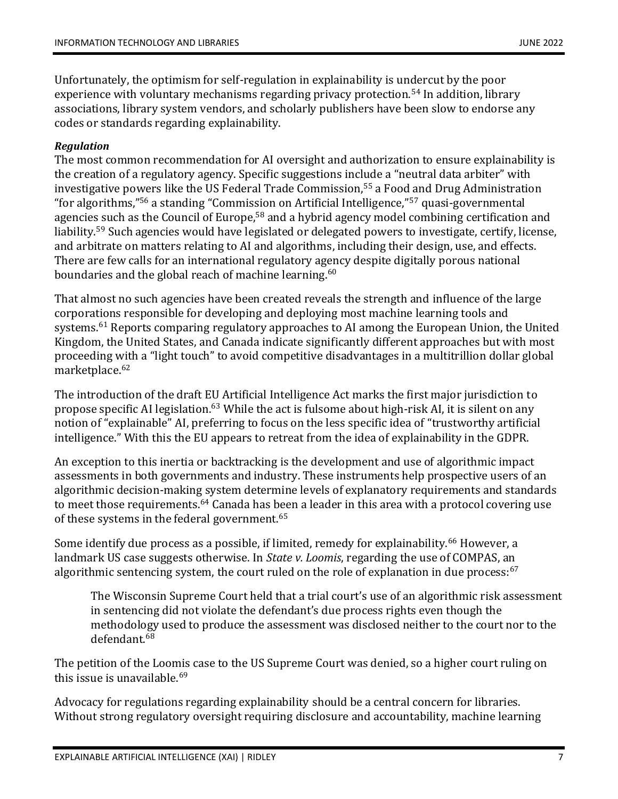Unfortunately, the optimism for self-regulation in explainability is undercut by the poor experience with voluntary mechanisms regarding privacy protection.<sup>54</sup> In addition, library associations, library system vendors, and scholarly publishers have been slow to endorse any codes or standards regarding explainability.

## *Regulation*

The most common recommendation for AI oversight and authorization to ensure explainability is the creation of a regulatory agency. Specific suggestions include a "neutral data arbiter" with investigative powers like the US Federal Trade Commission,<sup>55</sup> a Food and Drug Administration "for algorithms,"<sup>56</sup> a standing "Commission on Artificial Intelligence,"<sup>57</sup> quasi-governmental agencies such as the Council of Europe,<sup>58</sup> and a hybrid agency model combining certification and liability.<sup>59</sup> Such agencies would have legislated or delegated powers to investigate, certify, license, and arbitrate on matters relating to AI and algorithms, including their design, use, and effects. There are few calls for an international regulatory agency despite digitally porous national boundaries and the global reach of machine learning.<sup>60</sup>

That almost no such agencies have been created reveals the strength and influence of the large corporations responsible for developing and deploying most machine learning tools and systems.<sup>61</sup> Reports comparing regulatory approaches to AI among the European Union, the United Kingdom, the United States, and Canada indicate significantly different approaches but with most proceeding with a "light touch" to avoid competitive disadvantages in a multitrillion dollar global marketplace.<sup>62</sup>

The introduction of the draft EU Artificial Intelligence Act marks the first major jurisdiction to propose specific AI legislation.<sup>63</sup> While the act is fulsome about high-risk AI, it is silent on any notion of "explainable" AI, preferring to focus on the less specific idea of "trustworthy artificial intelligence." With this the EU appears to retreat from the idea of explainability in the GDPR.

An exception to this inertia or backtracking is the development and use of algorithmic impact assessments in both governments and industry. These instruments help prospective users of an algorithmic decision-making system determine levels of explanatory requirements and standards to meet those requirements.<sup>64</sup> Canada has been a leader in this area with a protocol covering use of these systems in the federal government.<sup>65</sup>

Some identify due process as a possible, if limited, remedy for explainability.<sup>66</sup> However, a landmark US case suggests otherwise. In *State v. Loomis*, regarding the use of COMPAS, an algorithmic sentencing system, the court ruled on the role of explanation in due process: $67$ 

The Wisconsin Supreme Court held that a trial court's use of an algorithmic risk assessment in sentencing did not violate the defendant's due process rights even though the methodology used to produce the assessment was disclosed neither to the court nor to the defendant.<sup>68</sup>

The petition of the Loomis case to the US Supreme Court was denied, so a higher court ruling on this issue is unavailable.<sup>69</sup>

Advocacy for regulations regarding explainability should be a central concern for libraries. Without strong regulatory oversight requiring disclosure and accountability, machine learning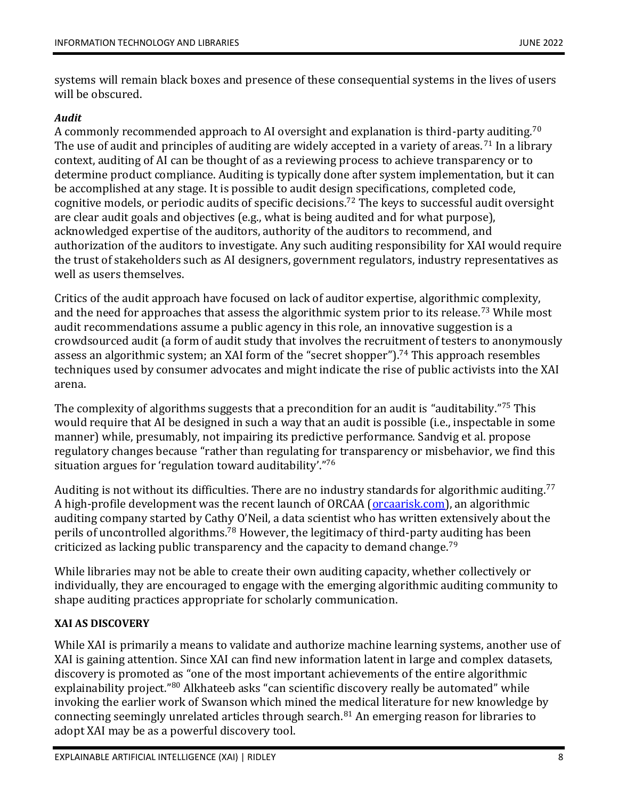systems will remain black boxes and presence of these consequential systems in the lives of users will be obscured.

# *Audit*

A commonly recommended approach to AI oversight and explanation is third-party auditing.<sup>70</sup> The use of audit and principles of auditing are widely accepted in a variety of areas.<sup>71</sup> In a library context, auditing of AI can be thought of as a reviewing process to achieve transparency or to determine product compliance. Auditing is typically done after system implementation, but it can be accomplished at any stage. It is possible to audit design specifications, completed code, cognitive models, or periodic audits of specific decisions.<sup>72</sup> The keys to successful audit oversight are clear audit goals and objectives (e.g., what is being audited and for what purpose), acknowledged expertise of the auditors, authority of the auditors to recommend, and authorization of the auditors to investigate. Any such auditing responsibility for XAI would require the trust of stakeholders such as AI designers, government regulators, industry representatives as well as users themselves.

Critics of the audit approach have focused on lack of auditor expertise, algorithmic complexity, and the need for approaches that assess the algorithmic system prior to its release.<sup>73</sup> While most audit recommendations assume a public agency in this role, an innovative suggestion is a crowdsourced audit (a form of audit study that involves the recruitment of testers to anonymously assess an algorithmic system; an XAI form of the "secret shopper").<sup>74</sup> This approach resembles techniques used by consumer advocates and might indicate the rise of public activists into the XAI arena.

The complexity of algorithms suggests that a precondition for an audit is "auditability." <sup>75</sup> This would require that AI be designed in such a way that an audit is possible (i.e., inspectable in some manner) while, presumably, not impairing its predictive performance. Sandvig et al. propose regulatory changes because "rather than regulating for transparency or misbehavior, we find this situation argues for 'regulation toward auditability'." 76

Auditing is not without its difficulties. There are no industry standards for algorithmic auditing.<sup>77</sup> A high-profile development was the recent launch of ORCAA (**orcaarisk.com**), an algorithmic auditing company started by Cathy O'Neil, a data scientist who has written extensively about the perils of uncontrolled algorithms.<sup>78</sup> However, the legitimacy of third-party auditing has been criticized as lacking public transparency and the capacity to demand change.<sup>79</sup>

While libraries may not be able to create their own auditing capacity, whether collectively or individually, they are encouraged to engage with the emerging algorithmic auditing community to shape auditing practices appropriate for scholarly communication.

# **XAI AS DISCOVERY**

While XAI is primarily a means to validate and authorize machine learning systems, another use of XAI is gaining attention. Since XAI can find new information latent in large and complex datasets, discovery is promoted as "one of the most important achievements of the entire algorithmic explainability project."<sup>80</sup> Alkhateeb asks "can scientific discovery really be automated" while invoking the earlier work of Swanson which mined the medical literature for new knowledge by connecting seemingly unrelated articles through search. $81$  An emerging reason for libraries to adopt XAI may be as a powerful discovery tool.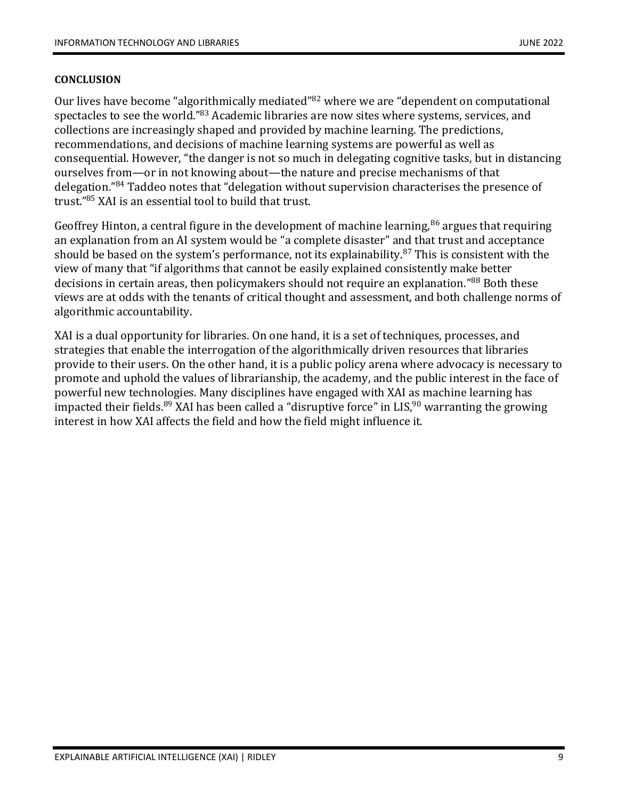#### **CONCLUSION**

Our lives have become "algorithmically mediated"<sup>82</sup> where we are "dependent on computational spectacles to see the world."<sup>83</sup> Academic libraries are now sites where systems, services, and collections are increasingly shaped and provided by machine learning. The predictions, recommendations, and decisions of machine learning systems are powerful as well as consequential. However, "the danger is not so much in delegating cognitive tasks, but in distancing ourselves from—or in not knowing about—the nature and precise mechanisms of that delegation."<sup>84</sup> Taddeo notes that "delegation without supervision characterises the presence of trust." <sup>85</sup> XAI is an essential tool to build that trust.

Geoffrey Hinton, a central figure in the development of machine learning,  $86$  argues that requiring an explanation from an AI system would be "a complete disaster" and that trust and acceptance should be based on the system's performance, not its explainability. $87$  This is consistent with the view of many that "if algorithms that cannot be easily explained consistently make better decisions in certain areas, then policymakers should not require an explanation."<sup>88</sup> Both these views are at odds with the tenants of critical thought and assessment, and both challenge norms of algorithmic accountability.

XAI is a dual opportunity for libraries. On one hand, it is a set of techniques, processes, and strategies that enable the interrogation of the algorithmically driven resources that libraries provide to their users. On the other hand, it is a public policy arena where advocacy is necessary to promote and uphold the values of librarianship, the academy, and the public interest in the face of powerful new technologies. Many disciplines have engaged with XAI as machine learning has impacted their fields.<sup>89</sup> XAI has been called a "disruptive force" in LIS,<sup>90</sup> warranting the growing interest in how XAI affects the field and how the field might influence it.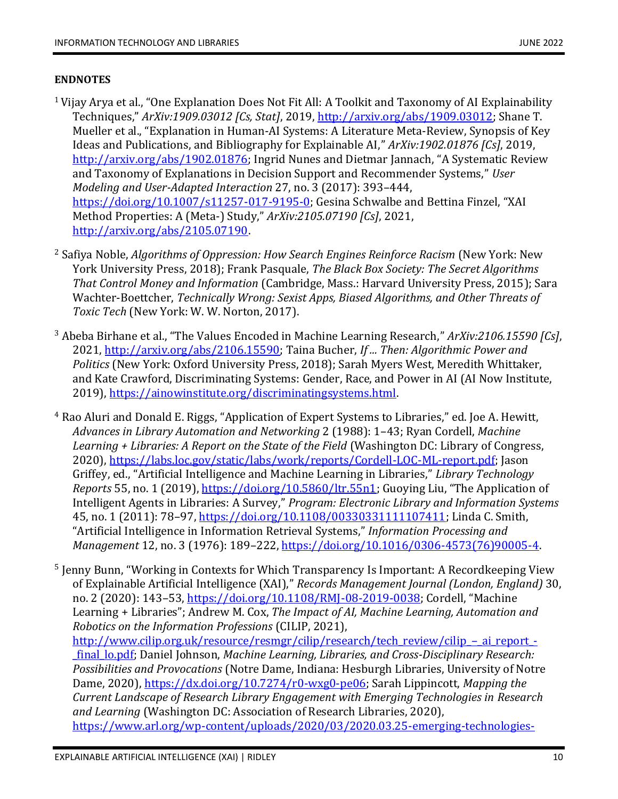#### **ENDNOTES**

- $1$  Vijay Arya et al., "One Explanation Does Not Fit All: A Toolkit and Taxonomy of AI Explainability Techniques," *ArXiv:1909.03012 [Cs, Stat]*, 2019[, http://arxiv.org/abs/1909.03012;](http://arxiv.org/abs/1909.03012) Shane T. Mueller et al., "Explanation in Human-AI Systems: A Literature Meta-Review, Synopsis of Key Ideas and Publications, and Bibliography for Explainable AI," *ArXiv:1902.01876 [Cs]*, 2019, [http://arxiv.org/abs/1902.01876;](http://arxiv.org/abs/1902.01876) Ingrid Nunes and Dietmar Jannach, "A Systematic Review and Taxonomy of Explanations in Decision Support and Recommender Systems," *User Modeling and User-Adapted Interaction* 27, no. 3 (2017): 393–444, [https://doi.org/10.1007/s11257-017-9195-0;](https://doi.org/10.1007/s11257-017-9195-0) Gesina Schwalbe and Bettina Finzel, "XAI Method Properties: A (Meta-) Study," *ArXiv:2105.07190 [Cs]*, 2021, [http://arxiv.org/abs/2105.07190.](http://arxiv.org/abs/2105.07190)
- <sup>2</sup> Safiya Noble, *Algorithms of Oppression: How Search Engines Reinforce Racism* (New York: New York University Press, 2018); Frank Pasquale, *The Black Box Society: The Secret Algorithms That Control Money and Information* (Cambridge, Mass.: Harvard University Press, 2015); Sara Wachter-Boettcher, *Technically Wrong: Sexist Apps, Biased Algorithms, and Other Threats of Toxic Tech* (New York: W. W. Norton, 2017).
- <sup>3</sup> Abeba Birhane et al., "The Values Encoded in Machine Learning Research," *ArXiv:2106.15590 [Cs]*, 2021[, http://arxiv.org/abs/2106.15590;](http://arxiv.org/abs/2106.15590) Taina Bucher, *If ... Then: Algorithmic Power and Politics* (New York: Oxford University Press, 2018); Sarah Myers West, Meredith Whittaker, and Kate Crawford, Discriminating Systems: Gender, Race, and Power in AI (AI Now Institute, 2019), [https://ainowinstitute.org/discriminatingsystems.html.](https://ainowinstitute.org/discriminatingsystems.html)
- <sup>4</sup> Rao Aluri and Donald E. Riggs, "Application of Expert Systems to Libraries," ed. Joe A. Hewitt, *Advances in Library Automation and Networking* 2 (1988): 1–43; Ryan Cordell, *Machine Learning + Libraries: A Report on the State of the Field* (Washington DC: Library of Congress, 2020), [https://labs.loc.gov/static/labs/work/reports/Cordell-LOC-ML-report.pdf;](https://labs.loc.gov/static/labs/work/reports/Cordell-LOC-ML-report.pdf) Jason Griffey, ed., "Artificial Intelligence and Machine Learning in Libraries," *Library Technology Reports* 55, no. 1 (2019), [https://doi.org/10.5860/ltr.55n1;](https://doi.org/10.5860/ltr.55n1) Guoying Liu, "The Application of Intelligent Agents in Libraries: A Survey," *Program: Electronic Library and Information Systems* 45, no. 1 (2011): 78–97, [https://doi.org/10.1108/00330331111107411;](https://doi.org/10.1108/00330331111107411) Linda C. Smith, "Artificial Intelligence in Information Retrieval Systems," *Information Processing and Management* 12, no. 3 (1976): 189–222, [https://doi.org/10.1016/0306-4573\(76\)90005-4.](https://doi.org/10.1016/0306-4573(76)90005-4)
- <sup>5</sup> Jenny Bunn, "Working in Contexts for Which Transparency Is Important: A Recordkeeping View of Explainable Artificial Intelligence (XAI)," *Records Management Journal (London, England)* 30, no. 2 (2020): 143–53[, https://doi.org/10.1108/RMJ-08-2019-0038;](https://doi.org/10.1108/RMJ-08-2019-0038) Cordell, "Machine Learning + Libraries"; Andrew M. Cox, *The Impact of AI, Machine Learning, Automation and Robotics on the Information Professions* (CILIP, 2021), [http://www.cilip.org.uk/resource/resmgr/cilip/research/tech\\_review/cilip\\_](http://www.cilip.org.uk/resource/resmgr/cilip/research/tech_review/cilip_–_ai_report_-_final_lo.pdf)–\_ai\_report\_-[\\_final\\_lo.pdf;](http://www.cilip.org.uk/resource/resmgr/cilip/research/tech_review/cilip_–_ai_report_-_final_lo.pdf) Daniel Johnson, *Machine Learning, Libraries, and Cross-Disciplinary Research: Possibilities and Provocations* (Notre Dame, Indiana: Hesburgh Libraries, University of Notre Dame, 2020), [https://dx.doi.org/10.7274/r0-wxg0-pe06;](https://dx.doi.org/10.7274/r0-wxg0-pe06) Sarah Lippincott, *Mapping the Current Landscape of Research Library Engagement with Emerging Technologies in Research and Learning* (Washington DC: Association of Research Libraries, 2020), [https://www.arl.org/wp-content/uploads/2020/03/2020.03.25-emerging-technologies-](https://www.arl.org/wp-content/uploads/2020/03/2020.03.25-emerging-technologies-landscape-summary.pdf)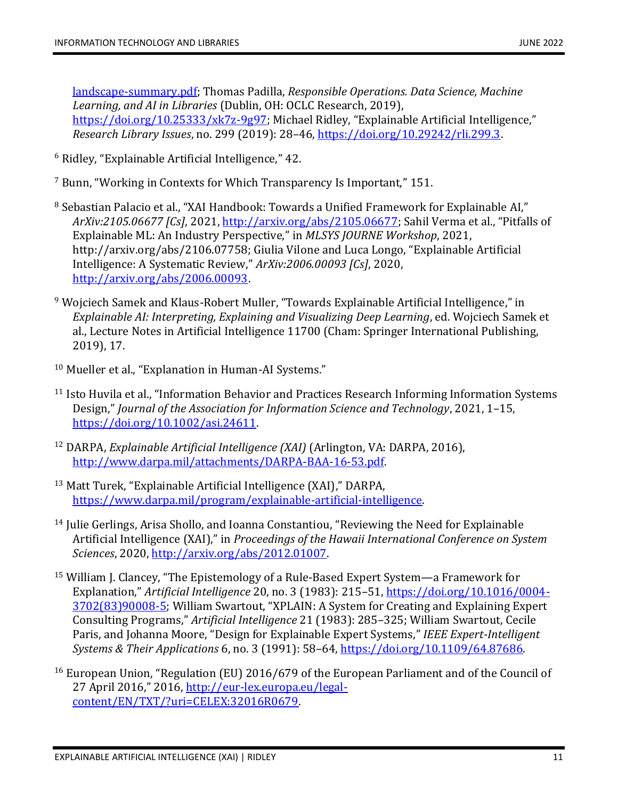[landscape-summary.pdf;](https://www.arl.org/wp-content/uploads/2020/03/2020.03.25-emerging-technologies-landscape-summary.pdf) Thomas Padilla, *Responsible Operations. Data Science, Machine Learning, and AI in Libraries* (Dublin, OH: OCLC Research, 2019), [https://doi.org/10.25333/xk7z-9g97;](https://doi.org/10.25333/xk7z-9g97) Michael Ridley, "Explainable Artificial Intelligence," *Research Library Issues*, no. 299 (2019): 28–46[, https://doi.org/10.29242/rli.299.3.](https://doi.org/10.29242/rli.299.3)

- <sup>6</sup> Ridley, "Explainable Artificial Intelligence," 42.
- <sup>7</sup> Bunn, "Working in Contexts for Which Transparency Is Important," 151.
- <sup>8</sup> Sebastian Palacio et al., "XAI Handbook: Towards a Unified Framework for Explainable AI," *ArXiv:2105.06677 [Cs]*, 2021, [http://arxiv.org/abs/2105.06677;](http://arxiv.org/abs/2105.06677) Sahil Verma et al., "Pitfalls of Explainable ML: An Industry Perspective," in *MLSYS JOURNE Workshop*, 2021, http://arxiv.org/abs/2106.07758; Giulia Vilone and Luca Longo, "Explainable Artificial Intelligence: A Systematic Review," *ArXiv:2006.00093 [Cs]*, 2020, [http://arxiv.org/abs/2006.00093.](http://arxiv.org/abs/2006.00093)
- <sup>9</sup> Wojciech Samek and Klaus-Robert Muller, "Towards Explainable Artificial Intelligence," in *Explainable AI: Interpreting, Explaining and Visualizing Deep Learning*, ed. Wojciech Samek et al., Lecture Notes in Artificial Intelligence 11700 (Cham: Springer International Publishing, 2019), 17.
- <sup>10</sup> Mueller et al., "Explanation in Human-AI Systems."
- <sup>11</sup> Isto Huvila et al., "Information Behavior and Practices Research Informing Information Systems Design," *Journal of the Association for Information Science and Technology*, 2021, 1–15, [https://doi.org/10.1002/asi.24611.](https://doi.org/10.1002/asi.24611)
- <sup>12</sup> DARPA, *Explainable Artificial Intelligence (XAI)* (Arlington, VA: DARPA, 2016), [http://www.darpa.mil/attachments/DARPA-BAA-16-53.pdf.](http://www.darpa.mil/attachments/DARPA-BAA-16-53.pdf)
- <sup>13</sup> Matt Turek, "Explainable Artificial Intelligence (XAI)," DARPA, [https://www.darpa.mil/program/explainable-artificial-intelligence.](https://www.darpa.mil/program/explainable-artificial-intelligence)
- <sup>14</sup> Julie Gerlings, Arisa Shollo, and Ioanna Constantiou, "Reviewing the Need for Explainable Artificial Intelligence (XAI)," in *Proceedings of the Hawaii International Conference on System Sciences*, 2020, [http://arxiv.org/abs/2012.01007.](http://arxiv.org/abs/2012.01007)
- <sup>15</sup> William J. Clancey, "The Epistemology of a Rule-Based Expert System—a Framework for Explanation," *Artificial Intelligence* 20, no. 3 (1983): 215–51[, https://doi.org/10.1016/0004-](https://doi.org/10.1016/0004-3702(83)90008-5) [3702\(83\)90008-5;](https://doi.org/10.1016/0004-3702(83)90008-5) William Swartout, "XPLAIN: A System for Creating and Explaining Expert Consulting Programs," *Artificial Intelligence* 21 (1983): 285–325; William Swartout, Cecile Paris, and Johanna Moore, "Design for Explainable Expert Systems," *IEEE Expert-Intelligent Systems & Their Applications* 6, no. 3 (1991): 58–64[, https://doi.org/10.1109/64.87686.](https://doi.org/10.1109/64.87686)
- <sup>16</sup> European Union, "Regulation (EU) 2016/679 of the European Parliament and of the Council of 27 April 2016," 2016, [http://eur-lex.europa.eu/legal](http://eur-lex.europa.eu/legal-content/EN/TXT/?uri=CELEX:32016R0679)[content/EN/TXT/?uri=CELEX:32016R0679.](http://eur-lex.europa.eu/legal-content/EN/TXT/?uri=CELEX:32016R0679)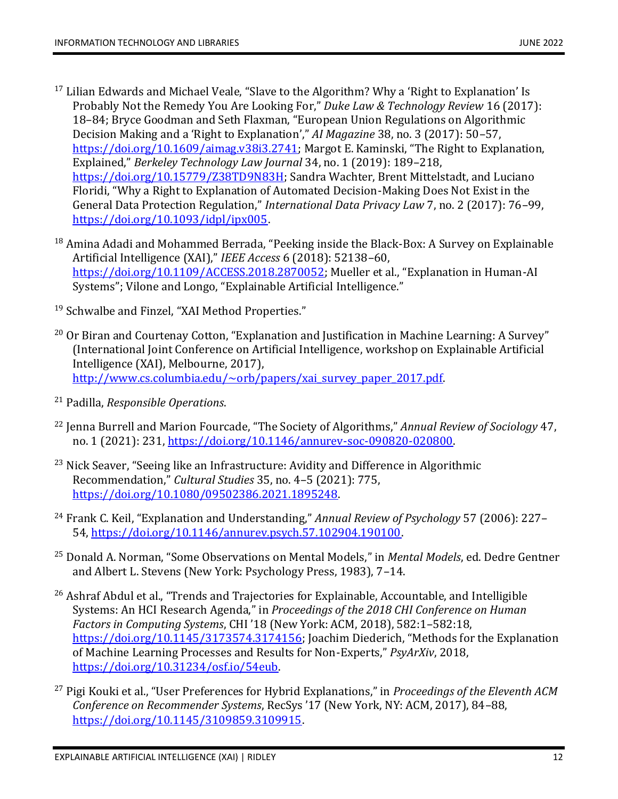- $17$  Lilian Edwards and Michael Veale, "Slave to the Algorithm? Why a 'Right to Explanation' Is Probably Not the Remedy You Are Looking For," *Duke Law & Technology Review* 16 (2017): 18–84; Bryce Goodman and Seth Flaxman, "European Union Regulations on Algorithmic Decision Making and a 'Right to Explanation'," *AI Magazine* 38, no. 3 (2017): 50–57, [https://doi.org/10.1609/aimag.v38i3.2741;](https://doi.org/10.1609/aimag.v38i3.2741) Margot E. Kaminski, "The Right to Explanation, Explained," *Berkeley Technology Law Journal* 34, no. 1 (2019): 189–218, [https://doi.org/10.15779/Z38TD9N83H;](https://doi.org/10.15779/Z38TD9N83H) Sandra Wachter, Brent Mittelstadt, and Luciano Floridi, "Why a Right to Explanation of Automated Decision-Making Does Not Exist in the General Data Protection Regulation," *International Data Privacy Law* 7, no. 2 (2017): 76–99, [https://doi.org/10.1093/idpl/ipx005.](https://doi.org/10.1093/idpl/ipx005)
- $18$  Amina Adadi and Mohammed Berrada, "Peeking inside the Black-Box: A Survey on Explainable Artificial Intelligence (XAI)," *IEEE Access* 6 (2018): 52138–60, [https://doi.org/10.1109/ACCESS.2018.2870052;](https://doi.org/10.1109/ACCESS.2018.2870052) Mueller et al., "Explanation in Human-AI Systems"; Vilone and Longo, "Explainable Artificial Intelligence."
- <sup>19</sup> Schwalbe and Finzel, "XAI Method Properties."
- $20$  Or Biran and Courtenay Cotton, "Explanation and Justification in Machine Learning: A Survey" (International Joint Conference on Artificial Intelligence, workshop on Explainable Artificial Intelligence (XAI), Melbourne, 2017), [http://www.cs.columbia.edu/~orb/papers/xai\\_survey\\_paper\\_2017.pdf.](http://www.cs.columbia.edu/~orb/papers/xai_survey_paper_2017.pdf)
- <sup>21</sup> Padilla, *Responsible Operations*.
- <sup>22</sup> Jenna Burrell and Marion Fourcade, "The Society of Algorithms," *Annual Review of Sociology* 47, no. 1 (2021): 231, [https://doi.org/10.1146/annurev-soc-090820-020800.](https://doi.org/10.1146/annurev-soc-090820-020800)
- <sup>23</sup> Nick Seaver, "Seeing like an Infrastructure: Avidity and Difference in Algorithmic Recommendation," *Cultural Studies* 35, no. 4–5 (2021): 775, [https://doi.org/10.1080/09502386.2021.1895248.](https://doi.org/10.1080/09502386.2021.1895248)
- <sup>24</sup> Frank C. Keil, "Explanation and Understanding," *Annual Review of Psychology* 57 (2006): 227– 54, [https://doi.org/10.1146/annurev.psych.57.102904.190100.](https://doi.org/10.1146/annurev.psych.57.102904.190100)
- <sup>25</sup> Donald A. Norman, "Some Observations on Mental Models," in *Mental Models*, ed. Dedre Gentner and Albert L. Stevens (New York: Psychology Press, 1983), 7–14.
- <sup>26</sup> Ashraf Abdul et al., "Trends and Trajectories for Explainable, Accountable, and Intelligible Systems: An HCI Research Agenda," in *Proceedings of the 2018 CHI Conference on Human Factors in Computing Systems*, CHI '18 (New York: ACM, 2018), 582:1–582:18, [https://doi.org/10.1145/3173574.3174156;](https://doi.org/10.1145/3173574.3174156) Joachim Diederich, "Methods for the Explanation of Machine Learning Processes and Results for Non-Experts," *PsyArXiv*, 2018, [https://doi.org/10.31234/osf.io/54eub.](https://doi.org/10.31234/osf.io/54eub)
- <sup>27</sup> Pigi Kouki et al., "User Preferences for Hybrid Explanations," in *Proceedings of the Eleventh ACM Conference on Recommender Systems*, RecSys '17 (New York, NY: ACM, 2017), 84–88, [https://doi.org/10.1145/3109859.3109915.](https://doi.org/10.1145/3109859.3109915)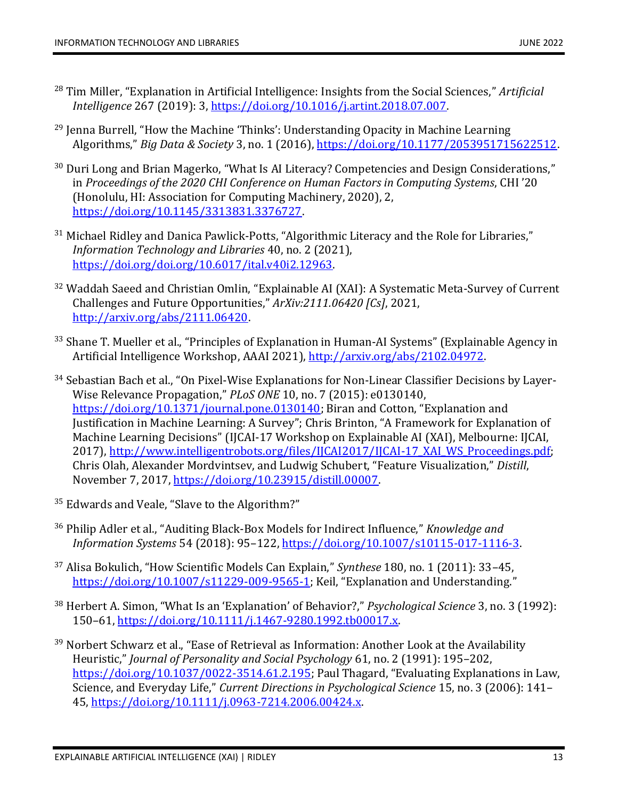- <sup>28</sup> Tim Miller, "Explanation in Artificial Intelligence: Insights from the Social Sciences," *Artificial Intelligence* 267 (2019): 3, [https://doi.org/10.1016/j.artint.2018.07.007.](https://doi.org/10.1016/j.artint.2018.07.007)
- $29$  Jenna Burrell, "How the Machine 'Thinks': Understanding Opacity in Machine Learning Algorithms," *Big Data & Society* 3, no. 1 (2016), [https://doi.org/10.1177/2053951715622512.](https://doi.org/10.1177/2053951715622512)
- <sup>30</sup> Duri Long and Brian Magerko, "What Is AI Literacy? Competencies and Design Considerations," in *Proceedings of the 2020 CHI Conference on Human Factors in Computing Systems*, CHI '20 (Honolulu, HI: Association for Computing Machinery, 2020), 2, [https://doi.org/10.1145/3313831.3376727.](https://doi.org/10.1145/3313831.3376727)
- <sup>31</sup> Michael Ridley and Danica Pawlick-Potts, "Algorithmic Literacy and the Role for Libraries," *Information Technology and Libraries* 40, no. 2 (2021), [https://doi.org/doi.org/10.6017/ital.v40i2.12963.](https://doi.org/doi.org/10.6017/ital.v40i2.12963)
- <sup>32</sup> Waddah Saeed and Christian Omlin, "Explainable AI (XAI): A Systematic Meta-Survey of Current Challenges and Future Opportunities," *ArXiv:2111.06420 [Cs]*, 2021, [http://arxiv.org/abs/2111.06420.](http://arxiv.org/abs/2111.06420)
- <sup>33</sup> Shane T. Mueller et al., "Principles of Explanation in Human-AI Systems" (Explainable Agency in Artificial Intelligence Workshop, AAAI 2021)[, http://arxiv.org/abs/2102.04972.](http://arxiv.org/abs/2102.04972)
- <sup>34</sup> Sebastian Bach et al., "On Pixel-Wise Explanations for Non-Linear Classifier Decisions by Layer-Wise Relevance Propagation," *PLoS ONE* 10, no. 7 (2015): e0130140, [https://doi.org/10.1371/journal.pone.0130140;](https://doi.org/10.1371/journal.pone.0130140) Biran and Cotton, "Explanation and Justification in Machine Learning: A Survey"; Chris Brinton, "A Framework for Explanation of Machine Learning Decisions" (IJCAI-17 Workshop on Explainable AI (XAI), Melbourne: IJCAI, 2017), [http://www.intelligentrobots.org/files/IJCAI2017/IJCAI-17\\_XAI\\_WS\\_Proceedings.pdf;](http://www.intelligentrobots.org/files/IJCAI2017/IJCAI-17_XAI_WS_Proceedings.pdf) Chris Olah, Alexander Mordvintsev, and Ludwig Schubert, "Feature Visualization," *Distill*, November 7, 2017, [https://doi.org/10.23915/distill.00007.](https://doi.org/10.23915/distill.00007)
- <sup>35</sup> Edwards and Veale, "Slave to the Algorithm?"
- <sup>36</sup> Philip Adler et al., "Auditing Black-Box Models for Indirect Influence," *Knowledge and Information Systems* 54 (2018): 95–122[, https://doi.org/10.1007/s10115-017-1116-3.](https://doi.org/10.1007/s10115-017-1116-3)
- <sup>37</sup> Alisa Bokulich, "How Scientific Models Can Explain," *Synthese* 180, no. 1 (2011): 33–45, [https://doi.org/10.1007/s11229-009-9565-1;](https://doi.org/10.1007/s11229-009-9565-1) Keil, "Explanation and Understanding."
- <sup>38</sup> Herbert A. Simon, "What Is an 'Explanation' of Behavior?," *Psychological Science* 3, no. 3 (1992): 150–61, [https://doi.org/10.1111/j.1467-9280.1992.tb00017.x.](https://doi.org/10.1111/j.1467-9280.1992.tb00017.x)
- <sup>39</sup> Norbert Schwarz et al., "Ease of Retrieval as Information: Another Look at the Availability Heuristic," *Journal of Personality and Social Psychology* 61, no. 2 (1991): 195–202, [https://doi.org/10.1037/0022-3514.61.2.195;](https://doi.org/10.1037/0022-3514.61.2.195) Paul Thagard, "Evaluating Explanations in Law, Science, and Everyday Life," *Current Directions in Psychological Science* 15, no. 3 (2006): 141– 45, [https://doi.org/10.1111/j.0963-7214.2006.00424.x.](https://doi.org/10.1111/j.0963-7214.2006.00424.x)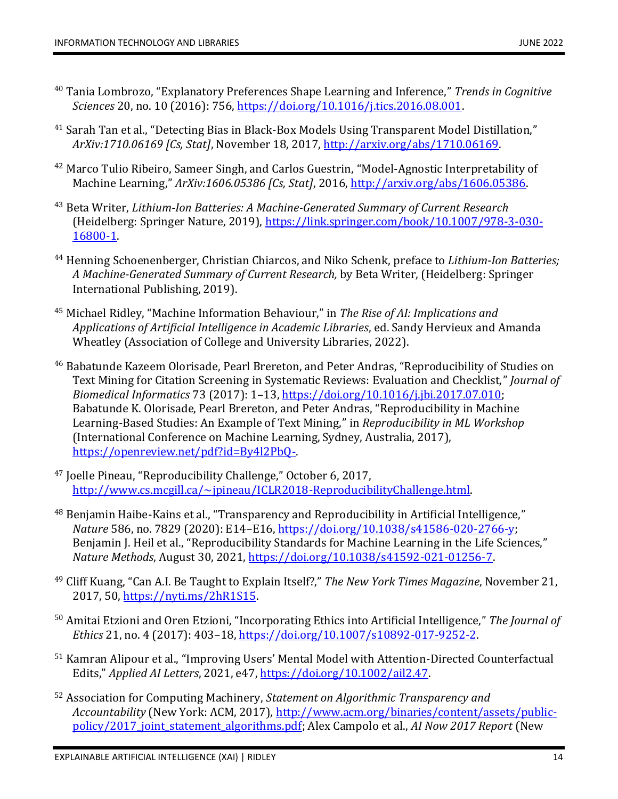- <sup>40</sup> Tania Lombrozo, "Explanatory Preferences Shape Learning and Inference," *Trends in Cognitive Sciences* 20, no. 10 (2016): 756, [https://doi.org/10.1016/j.tics.2016.08.001.](https://doi.org/10.1016/j.tics.2016.08.001)
- <sup>41</sup> Sarah Tan et al., "Detecting Bias in Black-Box Models Using Transparent Model Distillation," *ArXiv:1710.06169 [Cs, Stat]*, November 18, 2017[, http://arxiv.org/abs/1710.06169.](http://arxiv.org/abs/1710.06169)
- <sup>42</sup> Marco Tulio Ribeiro, Sameer Singh, and Carlos Guestrin, "Model-Agnostic Interpretability of Machine Learning," *ArXiv:1606.05386 [Cs, Stat]*, 2016[, http://arxiv.org/abs/1606.05386.](http://arxiv.org/abs/1606.05386)
- <sup>43</sup> Beta Writer, *Lithium-Ion Batteries: A Machine-Generated Summary of Current Research* (Heidelberg: Springer Nature, 2019), [https://link.springer.com/book/10.1007/978-3-030-](https://link.springer.com/book/10.1007/978-3-030-16800-1) [16800-1.](https://link.springer.com/book/10.1007/978-3-030-16800-1)
- <sup>44</sup> Henning Schoenenberger, Christian Chiarcos, and Niko Schenk, preface to *Lithium-Ion Batteries; A Machine-Generated Summary of Current Research,* by Beta Writer, (Heidelberg: Springer International Publishing, 2019).
- <sup>45</sup> Michael Ridley, "Machine Information Behaviour," in *The Rise of AI: Implications and Applications of Artificial Intelligence in Academic Libraries*, ed. Sandy Hervieux and Amanda Wheatley (Association of College and University Libraries, 2022).
- <sup>46</sup> Babatunde Kazeem Olorisade, Pearl Brereton, and Peter Andras, "Reproducibility of Studies on Text Mining for Citation Screening in Systematic Reviews: Evaluation and Checklist," *Journal of Biomedical Informatics* 73 (2017): 1–13[, https://doi.org/10.1016/j.jbi.2017.07.010;](https://doi.org/10.1016/j.jbi.2017.07.010) Babatunde K. Olorisade, Pearl Brereton, and Peter Andras, "Reproducibility in Machine Learning-Based Studies: An Example of Text Mining," in *Reproducibility in ML Workshop* (International Conference on Machine Learning, Sydney, Australia, 2017), [https://openreview.net/pdf?id=By4l2PbQ-.](https://openreview.net/pdf?id=By4l2PbQ-)
- <sup>47</sup> Joelle Pineau, "Reproducibility Challenge," October 6, 2017, [http://www.cs.mcgill.ca/~jpineau/ICLR2018-ReproducibilityChallenge.html.](http://www.cs.mcgill.ca/~jpineau/ICLR2018-ReproducibilityChallenge.html)
- <sup>48</sup> Benjamin Haibe-Kains et al., "Transparency and Reproducibility in Artificial Intelligence," *Nature* 586, no. 7829 (2020): E14–E16[, https://doi.org/10.1038/s41586-020-2766-y;](https://doi.org/10.1038/s41586-020-2766-y) Benjamin J. Heil et al., "Reproducibility Standards for Machine Learning in the Life Sciences," *Nature Methods*, August 30, 2021, [https://doi.org/10.1038/s41592-021-01256-7.](https://doi.org/10.1038/s41592-021-01256-7)
- <sup>49</sup> Cliff Kuang, "Can A.I. Be Taught to Explain Itself?," *The New York Times Magazine*, November 21, 2017, 50, [https://nyti.ms/2hR1S15.](https://nyti.ms/2hR1S15)
- <sup>50</sup> Amitai Etzioni and Oren Etzioni, "Incorporating Ethics into Artificial Intelligence," *The Journal of Ethics* 21, no. 4 (2017): 403–18[, https://doi.org/10.1007/s10892-017-9252-2.](https://doi.org/10.1007/s10892-017-9252-2)
- <sup>51</sup> Kamran Alipour et al., "Improving Users' Mental Model with Attention-Directed Counterfactual Edits," *Applied AI Letters*, 2021, e47, [https://doi.org/10.1002/ail2.47.](https://doi.org/10.1002/ail2.47)
- <sup>52</sup> Association for Computing Machinery, *Statement on Algorithmic Transparency and Accountability* (New York: ACM, 2017), [http://www.acm.org/binaries/content/assets/public](http://www.acm.org/binaries/content/assets/public-policy/2017_joint_statement_algorithms.pdf)[policy/2017\\_joint\\_statement\\_algorithms.pdf;](http://www.acm.org/binaries/content/assets/public-policy/2017_joint_statement_algorithms.pdf) Alex Campolo et al., *AI Now 2017 Report* (New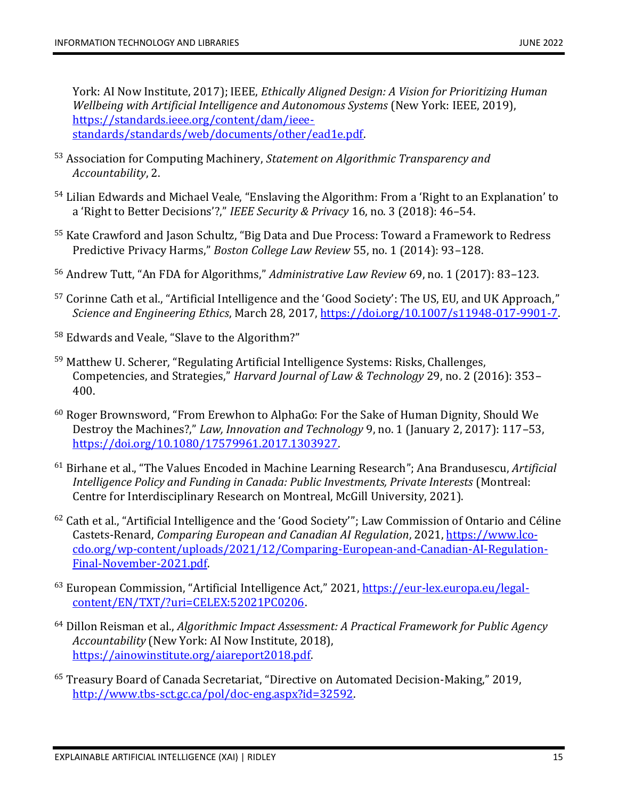York: AI Now Institute, 2017); IEEE, *Ethically Aligned Design: A Vision for Prioritizing Human Wellbeing with Artificial Intelligence and Autonomous Systems* (New York: IEEE, 2019), [https://standards.ieee.org/content/dam/ieee](https://standards.ieee.org/content/dam/ieee-standards/standards/web/documents/other/ead1e.pdf)[standards/standards/web/documents/other/ead1e.pdf.](https://standards.ieee.org/content/dam/ieee-standards/standards/web/documents/other/ead1e.pdf)

- <sup>53</sup> Association for Computing Machinery, *Statement on Algorithmic Transparency and Accountability*, 2.
- <sup>54</sup> Lilian Edwards and Michael Veale, "Enslaving the Algorithm: From a 'Right to an Explanation' to a 'Right to Better Decisions'?," *IEEE Security & Privacy* 16, no. 3 (2018): 46–54.
- <sup>55</sup> Kate Crawford and Jason Schultz, "Big Data and Due Process: Toward a Framework to Redress Predictive Privacy Harms," *Boston College Law Review* 55, no. 1 (2014): 93–128.
- <sup>56</sup> Andrew Tutt, "An FDA for Algorithms," *Administrative Law Review* 69, no. 1 (2017): 83–123.
- <sup>57</sup> Corinne Cath et al., "Artificial Intelligence and the 'Good Society': The US, EU, and UK Approach," *Science and Engineering Ethics*, March 28, 2017, [https://doi.org/10.1007/s11948-017-9901-7.](https://doi.org/10.1007/s11948-017-9901-7)
- <sup>58</sup> Edwards and Veale, "Slave to the Algorithm?"
- <sup>59</sup> Matthew U. Scherer, "Regulating Artificial Intelligence Systems: Risks, Challenges, Competencies, and Strategies," *Harvard Journal of Law & Technology* 29, no. 2 (2016): 353– 400.
- <sup>60</sup> Roger Brownsword, "From Erewhon to AlphaGo: For the Sake of Human Dignity, Should We Destroy the Machines?," *Law, Innovation and Technology* 9, no. 1 (January 2, 2017): 117–53, [https://doi.org/10.1080/17579961.2017.1303927.](https://doi.org/10.1080/17579961.2017.1303927)
- <sup>61</sup> Birhane et al., "The Values Encoded in Machine Learning Research"; Ana Brandusescu, *Artificial Intelligence Policy and Funding in Canada: Public Investments, Private Interests* (Montreal: Centre for Interdisciplinary Research on Montreal, McGill University, 2021).
- <sup>62</sup> Cath et al., "Artificial Intelligence and the 'Good Society'"; Law Commission of Ontario and Céline Castets-Renard, *Comparing European and Canadian AI Regulation*, 2021, [https://www.lco](https://www.lco-cdo.org/wp-content/uploads/2021/12/Comparing-European-and-Canadian-AI-Regulation-Final-November-2021.pdf)[cdo.org/wp-content/uploads/2021/12/Comparing-European-and-Canadian-AI-Regulation-](https://www.lco-cdo.org/wp-content/uploads/2021/12/Comparing-European-and-Canadian-AI-Regulation-Final-November-2021.pdf)[Final-November-2021.pdf.](https://www.lco-cdo.org/wp-content/uploads/2021/12/Comparing-European-and-Canadian-AI-Regulation-Final-November-2021.pdf)
- <sup>63</sup> European Commission, "Artificial Intelligence Act," 2021, [https://eur-lex.europa.eu/legal](https://eur-lex.europa.eu/legal-content/EN/TXT/?uri=CELEX:52021PC0206)[content/EN/TXT/?uri=CELEX:52021PC0206.](https://eur-lex.europa.eu/legal-content/EN/TXT/?uri=CELEX:52021PC0206)
- <sup>64</sup> Dillon Reisman et al., *Algorithmic Impact Assessment: A Practical Framework for Public Agency Accountability* (New York: AI Now Institute, 2018), [https://ainowinstitute.org/aiareport2018.pdf.](https://ainowinstitute.org/aiareport2018.pdf)
- <sup>65</sup> Treasury Board of Canada Secretariat, "Directive on Automated Decision-Making," 2019, [http://www.tbs-sct.gc.ca/pol/doc-eng.aspx?id=32592.](http://www.tbs-sct.gc.ca/pol/doc-eng.aspx?id=32592)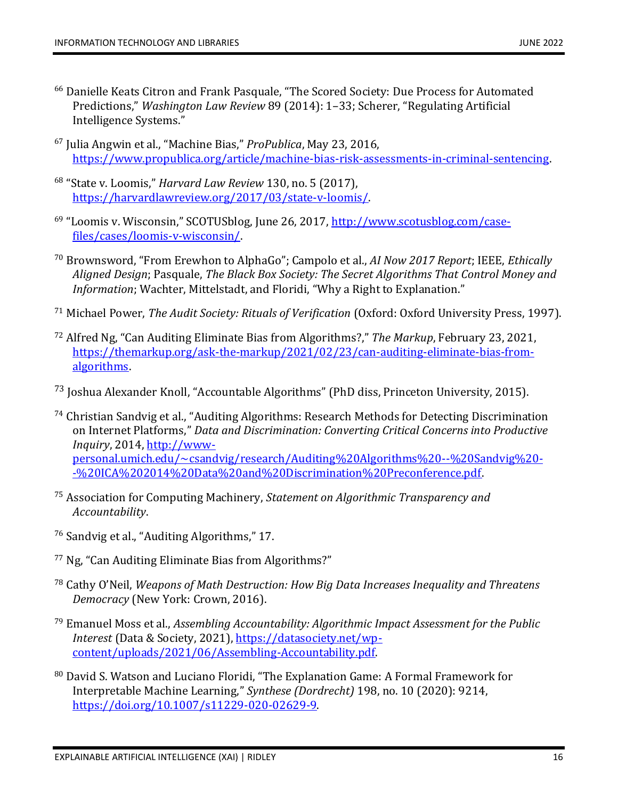- <sup>66</sup> Danielle Keats Citron and Frank Pasquale, "The Scored Society: Due Process for Automated Predictions," *Washington Law Review* 89 (2014): 1–33; Scherer, "Regulating Artificial Intelligence Systems."
- <sup>67</sup> Julia Angwin et al., "Machine Bias," *ProPublica*, May 23, 2016, [https://www.propublica.org/article/machine-bias-risk-assessments-in-criminal-sentencing.](https://www.propublica.org/article/machine-bias-risk-assessments-in-criminal-sentencing)
- 68 "State v. Loomis," *Harvard Law Review* 130, no. 5 (2017), [https://harvardlawreview.org/2017/03/state-v-loomis/.](https://harvardlawreview.org/2017/03/state-v-loomis/)
- <sup>69</sup> "Loomis v. Wisconsin," SCOTUSblog, June 26, 2017, <u>http://www.scotusblog.com/case-</u> [files/cases/loomis-v-wisconsin/.](http://www.scotusblog.com/case-files/cases/loomis-v-wisconsin/)
- <sup>70</sup> Brownsword, "From Erewhon to AlphaGo"; Campolo et al., *AI Now 2017 Report*; IEEE, *Ethically Aligned Design*; Pasquale, *The Black Box Society: The Secret Algorithms That Control Money and Information*; Wachter, Mittelstadt, and Floridi, "Why a Right to Explanation."
- <sup>71</sup> Michael Power, *The Audit Society: Rituals of Verification* (Oxford: Oxford University Press, 1997).
- <sup>72</sup> Alfred Ng, "Can Auditing Eliminate Bias from Algorithms?," *The Markup*, February 23, 2021, [https://themarkup.org/ask-the-markup/2021/02/23/can-auditing-eliminate-bias-from](https://themarkup.org/ask-the-markup/2021/02/23/can-auditing-eliminate-bias-from-algorithms)[algorithms.](https://themarkup.org/ask-the-markup/2021/02/23/can-auditing-eliminate-bias-from-algorithms)
- <sup>73</sup> Joshua Alexander Knoll, "Accountable Algorithms" (PhD diss, Princeton University, 2015).
- <sup>74</sup> Christian Sandvig et al., "Auditing Algorithms: Research Methods for Detecting Discrimination on Internet Platforms," *Data and Discrimination: Converting Critical Concerns into Productive Inquiry*, 2014, [http://www](http://www-personal.umich.edu/~csandvig/research/Auditing%20Algorithms%20--%20Sandvig%20--%20ICA%202014%20Data%20and%20Discrimination%20Preconference.pdf)[personal.umich.edu/~csandvig/research/Auditing%20Algorithms%20--%20Sandvig%20-](http://www-personal.umich.edu/~csandvig/research/Auditing%20Algorithms%20--%20Sandvig%20--%20ICA%202014%20Data%20and%20Discrimination%20Preconference.pdf) [-%20ICA%202014%20Data%20and%20Discrimination%20Preconference.pdf.](http://www-personal.umich.edu/~csandvig/research/Auditing%20Algorithms%20--%20Sandvig%20--%20ICA%202014%20Data%20and%20Discrimination%20Preconference.pdf)
- <sup>75</sup> Association for Computing Machinery, *Statement on Algorithmic Transparency and Accountability*.
- <sup>76</sup> Sandvig et al., "Auditing Algorithms," 17.
- <sup>77</sup> Ng, "Can Auditing Eliminate Bias from Algorithms?"
- <sup>78</sup> Cathy O'Neil, *Weapons of Math Destruction: How Big Data Increases Inequality and Threatens Democracy* (New York: Crown, 2016).
- <sup>79</sup> Emanuel Moss et al., *Assembling Accountability: Algorithmic Impact Assessment for the Public Interest* (Data & Society, 2021)[, https://datasociety.net/wp](https://datasociety.net/wp-content/uploads/2021/06/Assembling-Accountability.pdf)[content/uploads/2021/06/Assembling-Accountability.pdf.](https://datasociety.net/wp-content/uploads/2021/06/Assembling-Accountability.pdf)
- 80 David S. Watson and Luciano Floridi, "The Explanation Game: A Formal Framework for Interpretable Machine Learning," *Synthese (Dordrecht)* 198, no. 10 (2020): 9214, [https://doi.org/10.1007/s11229-020-02629-9.](https://doi.org/10.1007/s11229-020-02629-9)